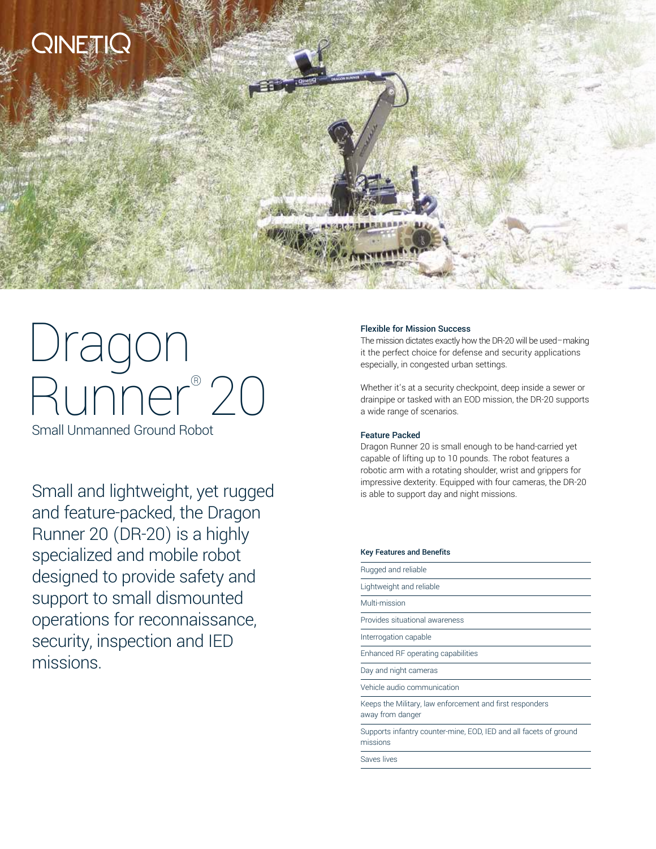

# Dragon Runner® 20

Small Unmanned Ground Robot

and feature-packed, the Dragon Runner 20 (DR-20) is a highly specialized and mobile robot designed to provide safety and support to small dismounted operations for reconnaissance, security, inspection and IED missions.

#### Flexible for Mission Success

The mission dictates exactly how the DR-20 will be used–making it the perfect choice for defense and security applications especially, in congested urban settings.

Whether it's at a security checkpoint, deep inside a sewer or drainpipe or tasked with an EOD mission, the DR-20 supports a wide range of scenarios.

#### Feature Packed

Dragon Runner 20 is small enough to be hand-carried yet capable of lifting up to 10 pounds. The robot features a robotic arm with a rotating shoulder, wrist and grippers for impressive dexterity. Equipped with four cameras, the DR-20<br>is able to support day and night missions.

|  |  |  | <b>Key Features and Benefits</b> |
|--|--|--|----------------------------------|
|--|--|--|----------------------------------|

| Rugged and reliable                                                           |
|-------------------------------------------------------------------------------|
| Lightweight and reliable                                                      |
| Multi-mission                                                                 |
| Provides situational awareness                                                |
| Interrogation capable                                                         |
| Enhanced RF operating capabilities                                            |
| Day and night cameras                                                         |
| Vehicle audio communication                                                   |
| Keeps the Military, law enforcement and first responders<br>away from danger  |
| Supports infantry counter-mine, EOD, IED and all facets of ground<br>missions |
| Saves lives                                                                   |
|                                                                               |